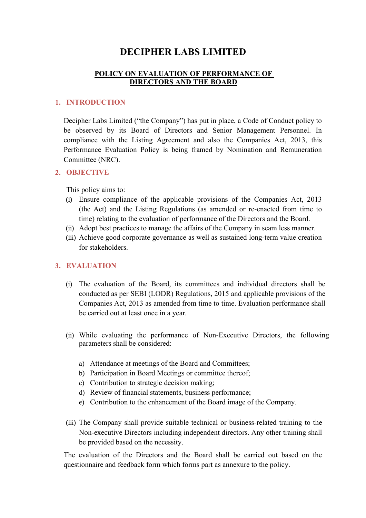# DECIPHER LABS LIMITED

### POLICY ON EVALUATION OF PERFORMANCE OF DIRECTORS AND THE BOARD

### 1. INTRODUCTION

Decipher Labs Limited ("the Company") has put in place, a Code of Conduct policy to be observed by its Board of Directors and Senior Management Personnel. In compliance with the Listing Agreement and also the Companies Act, 2013, this Performance Evaluation Policy is being framed by Nomination and Remuneration Committee (NRC).

#### 2. OBJECTIVE

This policy aims to:

- (i) Ensure compliance of the applicable provisions of the Companies Act, 2013 (the Act) and the Listing Regulations (as amended or re-enacted from time to time) relating to the evaluation of performance of the Directors and the Board.
- (ii) Adopt best practices to manage the affairs of the Company in seam less manner.
- (iii) Achieve good corporate governance as well as sustained long-term value creation for stakeholders.

### 3. EVALUATION

- (i) The evaluation of the Board, its committees and individual directors shall be conducted as per SEBI (LODR) Regulations, 2015 and applicable provisions of the Companies Act, 2013 as amended from time to time. Evaluation performance shall be carried out at least once in a year.
- (ii) While evaluating the performance of Non-Executive Directors, the following parameters shall be considered:
	- a) Attendance at meetings of the Board and Committees;
	- b) Participation in Board Meetings or committee thereof;
	- c) Contribution to strategic decision making;
	- d) Review of financial statements, business performance;
	- e) Contribution to the enhancement of the Board image of the Company.
- (iii) The Company shall provide suitable technical or business-related training to the Non-executive Directors including independent directors. Any other training shall be provided based on the necessity.

The evaluation of the Directors and the Board shall be carried out based on the questionnaire and feedback form which forms part as annexure to the policy.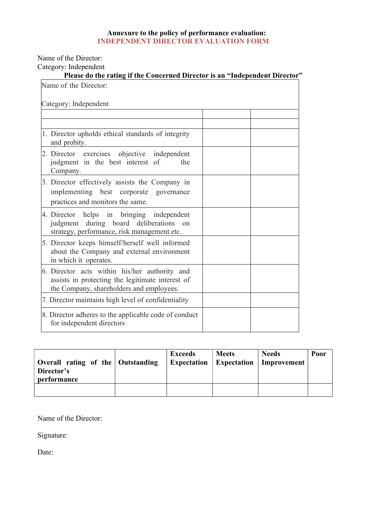#### Annexure to the policy of performance evaluation: INDEPENDENT DIRECTOR EVALUATION FORM

Name of the Director:

Category: Independent

| Please do the rating if the Concerned Director is an "Independent Director"                                                                   |  |
|-----------------------------------------------------------------------------------------------------------------------------------------------|--|
| Name of the Director:                                                                                                                         |  |
| Category: Independent                                                                                                                         |  |
|                                                                                                                                               |  |
| 1. Director upholds ethical standards of integrity<br>and probity.                                                                            |  |
| 2. Director exercises objective independent<br>judgment in the best interest of<br>the<br>Company.                                            |  |
| 3. Director effectively assists the Company in<br>implementing best corporate<br>governance<br>practices and monitors the same.               |  |
| 4. Director helps in bringing independent<br>judgment during board deliberations on<br>strategy, performance, risk management etc.            |  |
| 5. Director keeps himself/herself well informed<br>about the Company and external environment<br>in which it operates.                        |  |
| 6. Director acts within his/her authority and<br>assists in protecting the legitimate interest of<br>the Company, shareholders and employees. |  |
| 7. Director maintains high level of confidentiality                                                                                           |  |
| 8. Director adheres to the applicable code of conduct<br>for independent directors                                                            |  |

| Director's<br>performance | <b>Exceeds</b><br><b>Expectation</b><br>Overall rating of the Outstanding |  | <b>Meets</b><br><b>Expectation</b> | <b>Needs</b><br>Improvement | Poor |
|---------------------------|---------------------------------------------------------------------------|--|------------------------------------|-----------------------------|------|
|                           |                                                                           |  |                                    |                             |      |

Name of the Director:

Signature: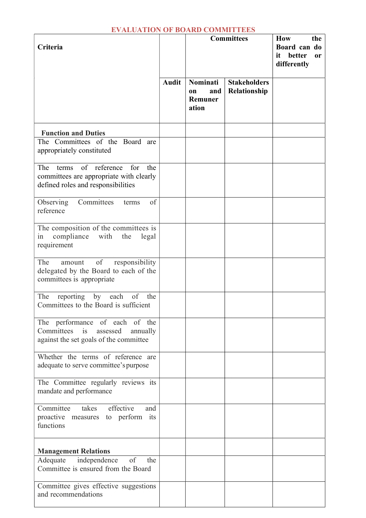### EVALUATION OF BOARD COMMITTEES

| Criteria                                                                                                                    |              | <b>Committees</b>                         | How<br>the<br>Board can do<br>better<br>it<br><b>or</b><br>differently |  |
|-----------------------------------------------------------------------------------------------------------------------------|--------------|-------------------------------------------|------------------------------------------------------------------------|--|
|                                                                                                                             | <b>Audit</b> | Nominati<br>and<br>on<br>Remuner<br>ation | <b>Stakeholders</b><br>Relationship                                    |  |
| <b>Function and Duties</b>                                                                                                  |              |                                           |                                                                        |  |
| The Committees of the Board are<br>appropriately constituted                                                                |              |                                           |                                                                        |  |
| of reference<br>for<br>The<br>the<br>terms<br>committees are appropriate with clearly<br>defined roles and responsibilities |              |                                           |                                                                        |  |
| Observing<br>Committees<br>of<br>terms<br>reference                                                                         |              |                                           |                                                                        |  |
| The composition of the committees is<br>compliance with the<br>legal<br>in<br>requirement                                   |              |                                           |                                                                        |  |
| of<br>The<br>responsibility<br>amount<br>delegated by the Board to each of the<br>committees is appropriate                 |              |                                           |                                                                        |  |
| The<br>reporting by each<br>of<br>the<br>Committees to the Board is sufficient                                              |              |                                           |                                                                        |  |
| The performance of each of the<br>Committees is<br>assessed<br>annually<br>against the set goals of the committee           |              |                                           |                                                                        |  |
| Whether the terms of reference are<br>adequate to serve committee's purpose                                                 |              |                                           |                                                                        |  |
| The Committee regularly reviews its<br>mandate and performance                                                              |              |                                           |                                                                        |  |
| takes effective<br>Committee<br>and<br>proactive measures to perform its<br>functions                                       |              |                                           |                                                                        |  |
| <b>Management Relations</b>                                                                                                 |              |                                           |                                                                        |  |
| independence<br>of<br>Adequate<br>the<br>Committee is ensured from the Board                                                |              |                                           |                                                                        |  |
| Committee gives effective suggestions<br>and recommendations                                                                |              |                                           |                                                                        |  |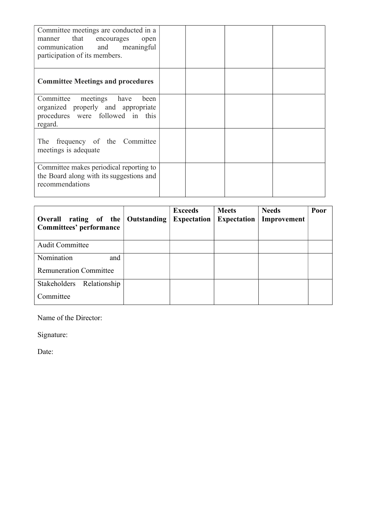| Committee meetings are conducted in a<br>manner that encourages open<br>communication and meaningful<br>participation of its members. |  |  |
|---------------------------------------------------------------------------------------------------------------------------------------|--|--|
| <b>Committee Meetings and procedures</b>                                                                                              |  |  |
| Committee meetings have<br>been<br>organized properly and appropriate<br>procedures were followed in this<br>regard.                  |  |  |
| The frequency of the Committee<br>meetings is adequate                                                                                |  |  |
| Committee makes periodical reporting to<br>the Board along with its suggestions and<br>recommendations                                |  |  |

| Overall rating of the<br>Committees' performance | <b>Outstanding</b> | <b>Exceeds</b><br><b>Expectation</b> | <b>Meets</b><br><b>Expectation</b> | <b>Needs</b><br>Improvement | Poor |
|--------------------------------------------------|--------------------|--------------------------------------|------------------------------------|-----------------------------|------|
| <b>Audit Committee</b>                           |                    |                                      |                                    |                             |      |
| Nomination<br>and                                |                    |                                      |                                    |                             |      |
| <b>Remuneration Committee</b>                    |                    |                                      |                                    |                             |      |
| Stakeholders<br>Relationship                     |                    |                                      |                                    |                             |      |
| Committee                                        |                    |                                      |                                    |                             |      |

Name of the Director:

Signature: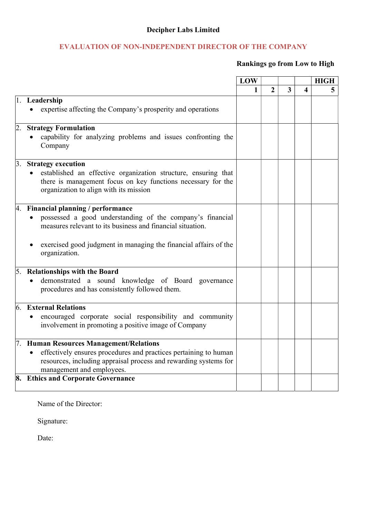## Decipher Labs Limited

## EVALUATION OF NON-INDEPENDENT DIRECTOR OF THE COMPANY

### Rankings go from Low to High

|    |                                                                                                                                | LOW |   |                         |   | <b>HIGH</b> |
|----|--------------------------------------------------------------------------------------------------------------------------------|-----|---|-------------------------|---|-------------|
|    |                                                                                                                                | 1   | 2 | $\overline{\mathbf{3}}$ | 4 | 5           |
|    | 1. Leadership                                                                                                                  |     |   |                         |   |             |
|    | expertise affecting the Company's prosperity and operations                                                                    |     |   |                         |   |             |
|    | 2. Strategy Formulation                                                                                                        |     |   |                         |   |             |
|    | capability for analyzing problems and issues confronting the<br>Company                                                        |     |   |                         |   |             |
| 3. | <b>Strategy execution</b>                                                                                                      |     |   |                         |   |             |
|    | established an effective organization structure, ensuring that<br>there is management focus on key functions necessary for the |     |   |                         |   |             |
|    | organization to align with its mission                                                                                         |     |   |                         |   |             |
|    | 4. Financial planning / performance                                                                                            |     |   |                         |   |             |
|    | possessed a good understanding of the company's financial                                                                      |     |   |                         |   |             |
|    | measures relevant to its business and financial situation.                                                                     |     |   |                         |   |             |
|    | exercised good judgment in managing the financial affairs of the<br>organization.                                              |     |   |                         |   |             |
|    | 5. Relationships with the Board                                                                                                |     |   |                         |   |             |
|    | demonstrated a sound knowledge of Board<br>governance<br>procedures and has consistently followed them.                        |     |   |                         |   |             |
| 6. | <b>External Relations</b>                                                                                                      |     |   |                         |   |             |
|    | encouraged corporate social responsibility and community                                                                       |     |   |                         |   |             |
|    | involvement in promoting a positive image of Company                                                                           |     |   |                         |   |             |
|    | 7. Human Resources Management/Relations                                                                                        |     |   |                         |   |             |
|    | effectively ensures procedures and practices pertaining to human                                                               |     |   |                         |   |             |
|    | resources, including appraisal process and rewarding systems for<br>management and employees.                                  |     |   |                         |   |             |
|    | 8. Ethics and Corporate Governance                                                                                             |     |   |                         |   |             |

Name of the Director:

Signature: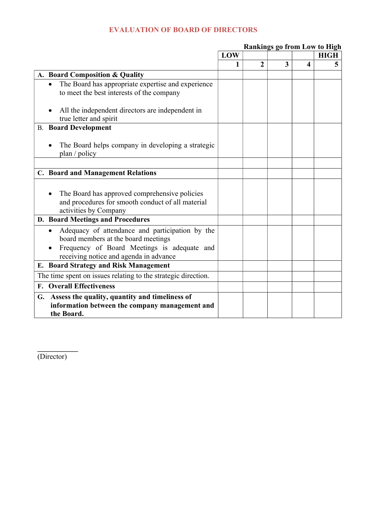### EVALUATION OF BOARD OF DIRECTORS

|                                                                                                                                                                                              | LOW |                  |   |   | <b>HIGH</b> |
|----------------------------------------------------------------------------------------------------------------------------------------------------------------------------------------------|-----|------------------|---|---|-------------|
|                                                                                                                                                                                              | 1   | $\boldsymbol{2}$ | 3 | 4 | 5           |
| A. Board Composition & Quality                                                                                                                                                               |     |                  |   |   |             |
| The Board has appropriate expertise and experience<br>to meet the best interests of the company                                                                                              |     |                  |   |   |             |
| All the independent directors are independent in<br>true letter and spirit                                                                                                                   |     |                  |   |   |             |
| <b>B.</b> Board Development                                                                                                                                                                  |     |                  |   |   |             |
| The Board helps company in developing a strategic<br>plan / policy                                                                                                                           |     |                  |   |   |             |
|                                                                                                                                                                                              |     |                  |   |   |             |
| <b>C. Board and Management Relations</b>                                                                                                                                                     |     |                  |   |   |             |
| The Board has approved comprehensive policies<br>and procedures for smooth conduct of all material<br>activities by Company                                                                  |     |                  |   |   |             |
| D. Board Meetings and Procedures                                                                                                                                                             |     |                  |   |   |             |
| Adequacy of attendance and participation by the<br>$\bullet$<br>board members at the board meetings<br>Frequency of Board Meetings is adequate and<br>receiving notice and agenda in advance |     |                  |   |   |             |
| <b>E. Board Strategy and Risk Management</b>                                                                                                                                                 |     |                  |   |   |             |
| The time spent on issues relating to the strategic direction.                                                                                                                                |     |                  |   |   |             |
| <b>F.</b> Overall Effectiveness                                                                                                                                                              |     |                  |   |   |             |
| G. Assess the quality, quantity and timeliness of<br>information between the company management and<br>the Board.                                                                            |     |                  |   |   |             |

Rankings go from Low to High

(Director)

 $\mathcal{L}_\text{max}$